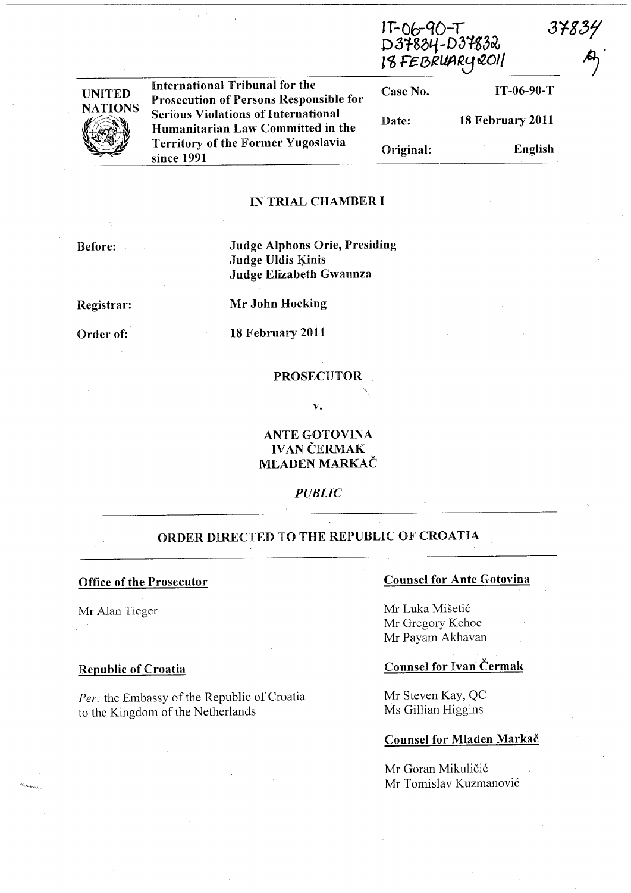|                |                                                                                                                                            | IT-06-90-T<br>D37834-D37832<br>I8 FEBRUARY 2011 |                  | 37834 |
|----------------|--------------------------------------------------------------------------------------------------------------------------------------------|-------------------------------------------------|------------------|-------|
| <b>UNITED</b>  | International Tribunal for the<br><b>Prosecution of Persons Responsible for</b>                                                            | Case No.                                        | IT-06-90-T       |       |
| <b>NATIONS</b> | <b>Serious Violations of International</b><br>Humanitarian Law Committed in the<br><b>Territory of the Former Yugoslavia</b><br>since 1991 | Date:                                           | 18 February 2011 |       |
|                |                                                                                                                                            | Original:                                       | English          |       |

#### IN TRIAL CHAMBER I

Before: Judge Alphons Orie, Presiding Judge Uldis Kinis Judge Elizabeth Gwaunza

Registrar:

Mr John Hocking

Order of:

18 February 2011

## PROSECUTOR

v.

# ANTE GOTOVINA IVAN ČERMAK MLADEN MARKAC

*PUBLIC* 

# ORDER DIRECTED TO THE REPUBLIC OF CROATIA

#### Office of the Prosecutor

Mr Alan Tieger

#### Republic of Croatia

*Per:* the Embassy of the Republic of Croatia to the Kingdom of the Netherlands

# Counsel for Ante Gotovina

Mr Luka Mišetić Mr Gregory Kehoe Mr Payam Akhavan

## Counsel for Ivan Cermak

Mr Steven Kay, QC Ms Gillian Higgins

#### Counsel for Mladen Markac

Mr Goran Mikuličić Mr Tomislav Kuzmanović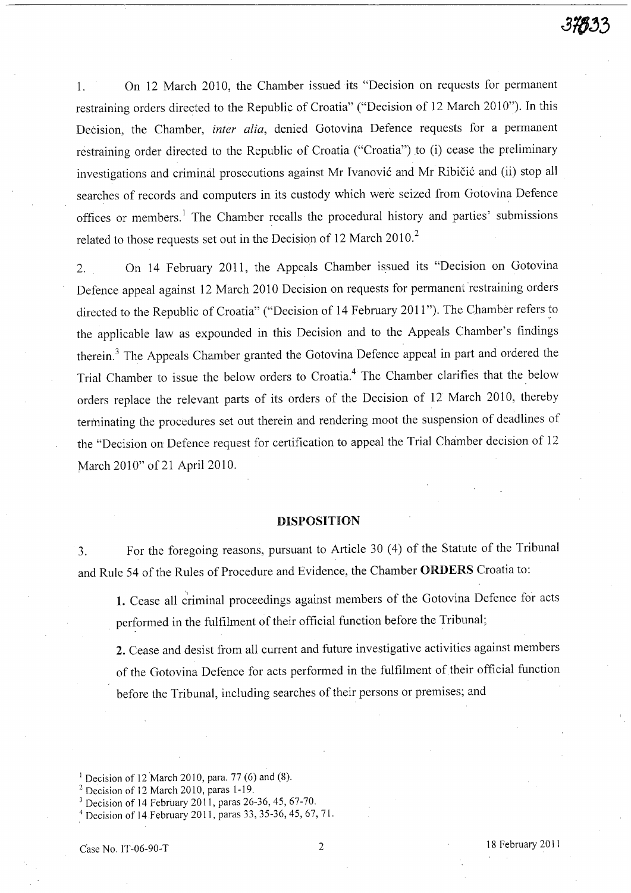1. On 12 March 2010, the Chamber issued its "Decision on requests for permanent restraining orders directed to the Republic of Croatia" ("Decision of 12 March 2010"). In this Decision, the Chamber, *inter alia,* denied Gotovina Defence requests for a permanent restraining order directed to the Republic of Croatia ("Croatia") to (i) cease the preliminary investigations and criminal prosecutions against Mr Ivanović and Mr Ribičić and (ii) stop all searches of records and computers in its custody which were seized from Gotovina Defence offices or members.<sup>1</sup> The Chamber recalls the procedural history and parties' submissions related to those requests set out in the Decision of 12 March 2010.<sup>2</sup>

2. On 14 February 2011, the Appeals Chamber issued its "Decision on Gotovina Defence appeal against 12 March 2010 Decision on requests for permanent restraining orders directed to the Republic of Croatia" ("Decision of 14 February 2011 "). The Chamber refers to the applicable law as expounded in this Decision and to the Appeals Chamber's findings therein. 3 The Appeals Chamber granted the Gotovina Defence appeal in part and ordered the Trial Chamber to issue the below orders to Croatia.4 The Chamber clarifies that the below orders replace the relevant parts of its orders of the Decision of 12 March 2010, thereby terminating the procedures set out therein and rendering moot the suspension of deadlines of the "Decision on Defence request for certification to appeal the Trial Chamber decision of 12 March 2010" of 21 April 2010.

## DISPOSITION

3. For the foregoing reasons, pursuant to Article 30 (4) of the Statute of the Tribunal and Rule 54 of the Rules of Procedure and Evidence, the Chamber ORDERS Croatia to:

, 1. Cease all criminal proceedings against members of the Gotovina Defence for acts performed in the fulfilment of their official function before the Tribunal;

**2.** Cease and desist from all current and future investigative activities against members of the Gotovina Defence for acts performed in the fulfilment of their official function before the Tribunal, including searches of their persons or premises; and

<sup>1</sup> Decision of 12 March 2010, para. 77 *(G)* and (8).

 $2$  Decision of 12 March 2010, paras 1-19.

<sup>3</sup> Decision of 14 February 2011, paras 26-36, 45, 67-70.

<sup>&</sup>lt;sup>4</sup> Decision of 14 February 2011, paras 33, 35-36, 45, 67, 71.